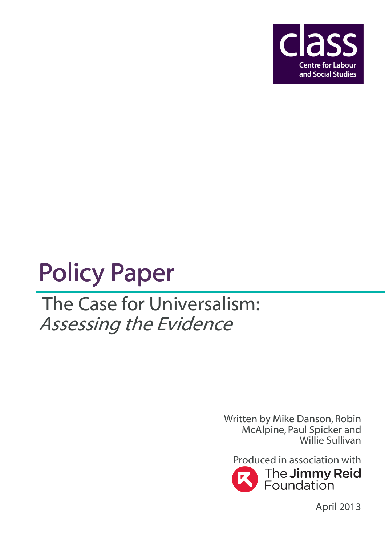

# **Policy Paper**

## The Case for Universalism: Assessing the Evidence

Written by Mike Danson, Robin McAlpine, Paul Spicker and Willie Sullivan



April 2013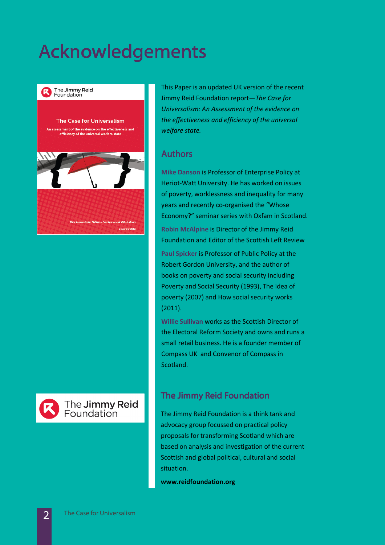### Acknowledgements



### The **Jimmy Reid**<br>Foundation

This Paper is an updated UK version of the recent Jimmy Reid Foundation report—The Case for Universalism: An Assessment of the evidence on the effectiveness and efficiency of the universal welfare state.

#### **Authors**

Mike Danson is Professor of Enterprise Policy at Heriot-Watt University. He has worked on issues of poverty, worklessness and inequality for many years and recently co-organised the "Whose Economy?" seminar series with Oxfam in Scotland. Robin McAlpine is Director of the Jimmy Reid Foundation and Editor of the Scottish Left Review

Paul Spicker is Professor of Public Policy at the Robert Gordon University, and the author of books on poverty and social security including Poverty and Social Security (1993), The idea of poverty (2007) and How social security works (2011).

Willie Sullivan works as the Scottish Director of the Electoral Reform Society and owns and runs a small retail business. He is a founder member of Compass UK and Convenor of Compass in Scotland.

### **The Jimmy Reid Foundation**

The Jimmy Reid Foundation is a think tank and advocacy group focussed on practical policy proposals for transforming Scotland which are based on analysis and investigation of the current Scottish and global political, cultural and social situation.

www.reidfoundation.org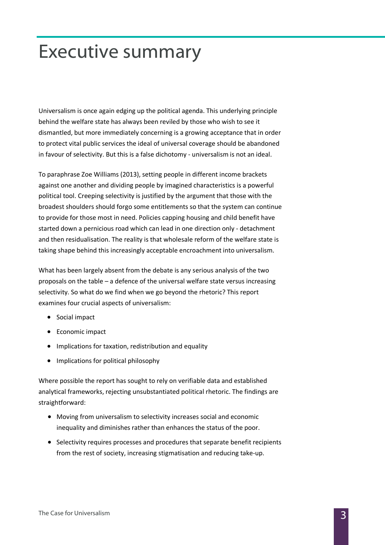### Executive summary

Universalism is once again edging up the political agenda. This underlying principle behind the welfare state has always been reviled by those who wish to see it dismantled, but more immediately concerning is a growing acceptance that in order to protect vital public services the ideal of universal coverage should be abandoned in favour of selectivity. But this is a false dichotomy - universalism is not an ideal.

To paraphrase Zoe Williams (2013), setting people in different income brackets against one another and dividing people by imagined characteristics is a powerful political tool. Creeping selectivity is justified by the argument that those with the broadest shoulders should forgo some entitlements so that the system can continue to provide for those most in need. Policies capping housing and child benefit have started down a pernicious road which can lead in one direction only - detachment and then residualisation. The reality is that wholesale reform of the welfare state is taking shape behind this increasingly acceptable encroachment into universalism.

What has been largely absent from the debate is any serious analysis of the two proposals on the table – a defence of the universal welfare state versus increasing selectivity. So what do we find when we go beyond the rhetoric? This report examines four crucial aspects of universalism:

- Social impact
- Economic impact
- Implications for taxation, redistribution and equality
- Implications for political philosophy

Where possible the report has sought to rely on verifiable data and established analytical frameworks, rejecting unsubstantiated political rhetoric. The findings are straightforward:

- Moving from universalism to selectivity increases social and economic inequality and diminishes rather than enhances the status of the poor.
- Selectivity requires processes and procedures that separate benefit recipients from the rest of society, increasing stigmatisation and reducing take-up.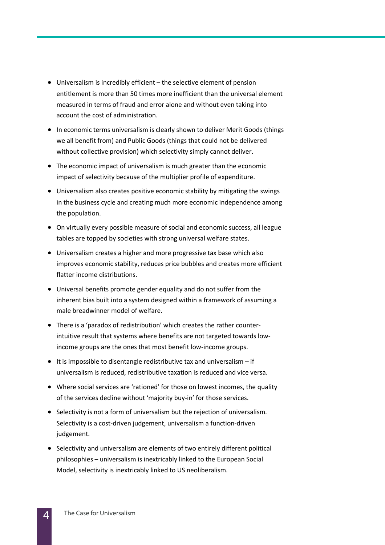- Universalism is incredibly efficient the selective element of pension entitlement is more than 50 times more inefficient than the universal element measured in terms of fraud and error alone and without even taking into account the cost of administration.
- In economic terms universalism is clearly shown to deliver Merit Goods (things we all benefit from) and Public Goods (things that could not be delivered without collective provision) which selectivity simply cannot deliver.
- The economic impact of universalism is much greater than the economic impact of selectivity because of the multiplier profile of expenditure.
- Universalism also creates positive economic stability by mitigating the swings in the business cycle and creating much more economic independence among the population.
- On virtually every possible measure of social and economic success, all league tables are topped by societies with strong universal welfare states.
- Universalism creates a higher and more progressive tax base which also improves economic stability, reduces price bubbles and creates more efficient flatter income distributions.
- Universal benefits promote gender equality and do not suffer from the inherent bias built into a system designed within a framework of assuming a male breadwinner model of welfare.
- There is a 'paradox of redistribution' which creates the rather counterintuitive result that systems where benefits are not targeted towards lowincome groups are the ones that most benefit low-income groups.
- It is impossible to disentangle redistributive tax and universalism if universalism is reduced, redistributive taxation is reduced and vice versa.
- Where social services are 'rationed' for those on lowest incomes, the quality of the services decline without 'majority buy-in' for those services.
- Selectivity is not a form of universalism but the rejection of universalism. Selectivity is a cost-driven judgement, universalism a function-driven judgement.
- Selectivity and universalism are elements of two entirely different political philosophies – universalism is inextricably linked to the European Social Model, selectivity is inextricably linked to US neoliberalism.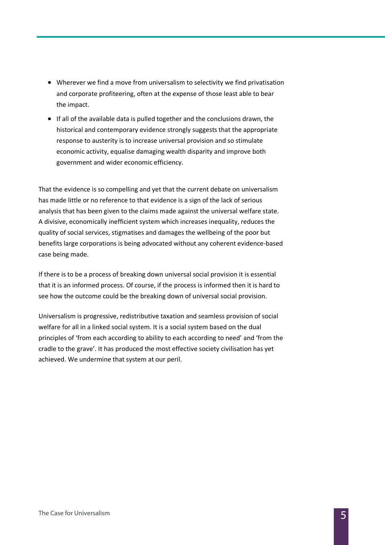- Wherever we find a move from universalism to selectivity we find privatisation and corporate profiteering, often at the expense of those least able to bear the impact.
- If all of the available data is pulled together and the conclusions drawn, the historical and contemporary evidence strongly suggests that the appropriate response to austerity is to increase universal provision and so stimulate economic activity, equalise damaging wealth disparity and improve both government and wider economic efficiency.

That the evidence is so compelling and yet that the current debate on universalism has made little or no reference to that evidence is a sign of the lack of serious analysis that has been given to the claims made against the universal welfare state. A divisive, economically inefficient system which increases inequality, reduces the quality of social services, stigmatises and damages the wellbeing of the poor but benefits large corporations is being advocated without any coherent evidence-based case being made.

If there is to be a process of breaking down universal social provision it is essential that it is an informed process. Of course, if the process is informed then it is hard to see how the outcome could be the breaking down of universal social provision.

Universalism is progressive, redistributive taxation and seamless provision of social welfare for all in a linked social system. It is a social system based on the dual principles of 'from each according to ability to each according to need' and 'from the cradle to the grave'. It has produced the most effective society civilisation has yet achieved. We undermine that system at our peril.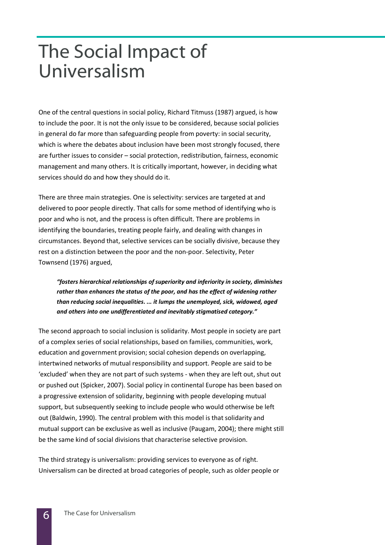### The Social Impact of Universalism

One of the central questions in social policy, Richard Titmuss (1987) argued, is how to include the poor. It is not the only issue to be considered, because social policies in general do far more than safeguarding people from poverty: in social security, which is where the debates about inclusion have been most strongly focused, there are further issues to consider – social protection, redistribution, fairness, economic management and many others. It is critically important, however, in deciding what services should do and how they should do it.

There are three main strategies. One is selectivity: services are targeted at and delivered to poor people directly. That calls for some method of identifying who is poor and who is not, and the process is often difficult. There are problems in identifying the boundaries, treating people fairly, and dealing with changes in circumstances. Beyond that, selective services can be socially divisive, because they rest on a distinction between the poor and the non-poor. Selectivity, Peter Townsend (1976) argued,

"fosters hierarchical relationships of superiority and inferiority in society, diminishes rather than enhances the status of the poor, and has the effect of widening rather than reducing social inequalities. ... it lumps the unemployed, sick, widowed, aged and others into one undifferentiated and inevitably stigmatised category."

The second approach to social inclusion is solidarity. Most people in society are part of a complex series of social relationships, based on families, communities, work, education and government provision; social cohesion depends on overlapping, intertwined networks of mutual responsibility and support. People are said to be 'excluded' when they are not part of such systems - when they are left out, shut out or pushed out (Spicker, 2007). Social policy in continental Europe has been based on a progressive extension of solidarity, beginning with people developing mutual support, but subsequently seeking to include people who would otherwise be left out (Baldwin, 1990). The central problem with this model is that solidarity and mutual support can be exclusive as well as inclusive (Paugam, 2004); there might still be the same kind of social divisions that characterise selective provision.

The third strategy is universalism: providing services to everyone as of right. Universalism can be directed at broad categories of people, such as older people or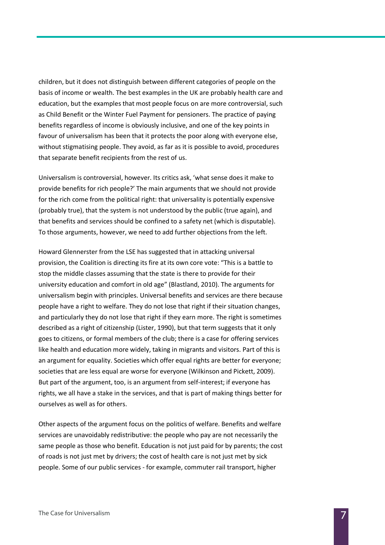children, but it does not distinguish between different categories of people on the basis of income or wealth. The best examples in the UK are probably health care and education, but the examples that most people focus on are more controversial, such as Child Benefit or the Winter Fuel Payment for pensioners. The practice of paying benefits regardless of income is obviously inclusive, and one of the key points in favour of universalism has been that it protects the poor along with everyone else, without stigmatising people. They avoid, as far as it is possible to avoid, procedures that separate benefit recipients from the rest of us.

Universalism is controversial, however. Its critics ask, 'what sense does it make to provide benefits for rich people?' The main arguments that we should not provide for the rich come from the political right: that universality is potentially expensive (probably true), that the system is not understood by the public (true again), and that benefits and services should be confined to a safety net (which is disputable). To those arguments, however, we need to add further objections from the left.

Howard Glennerster from the LSE has suggested that in attacking universal provision, the Coalition is directing its fire at its own core vote: "This is a battle to stop the middle classes assuming that the state is there to provide for their university education and comfort in old age" (Blastland, 2010). The arguments for universalism begin with principles. Universal benefits and services are there because people have a right to welfare. They do not lose that right if their situation changes, and particularly they do not lose that right if they earn more. The right is sometimes described as a right of citizenship (Lister, 1990), but that term suggests that it only goes to citizens, or formal members of the club; there is a case for offering services like health and education more widely, taking in migrants and visitors. Part of this is an argument for equality. Societies which offer equal rights are better for everyone; societies that are less equal are worse for everyone (Wilkinson and Pickett, 2009). But part of the argument, too, is an argument from self-interest; if everyone has rights, we all have a stake in the services, and that is part of making things better for ourselves as well as for others.

Other aspects of the argument focus on the politics of welfare. Benefits and welfare services are unavoidably redistributive: the people who pay are not necessarily the same people as those who benefit. Education is not just paid for by parents; the cost of roads is not just met by drivers; the cost of health care is not just met by sick people. Some of our public services - for example, commuter rail transport, higher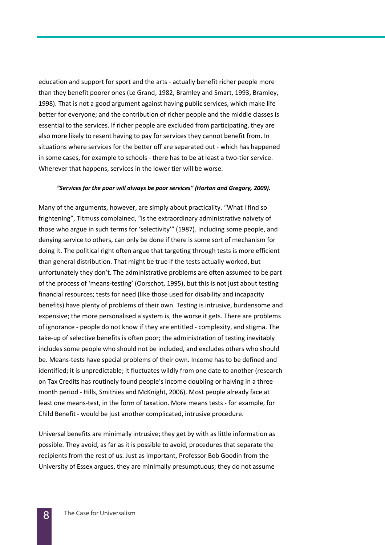education and support for sport and the arts - actually benefit richer people more than they benefit poorer ones (Le Grand, 1982, Bramley and Smart, 1993, Bramley, 1998). That is not a good argument against having public services, which make life better for everyone; and the contribution of richer people and the middle classes is essential to the services. If richer people are excluded from participating, they are also more likely to resent having to pay for services they cannot benefit from. In situations where services for the better off are separated out - which has happened in some cases, for example to schools - there has to be at least a two-tier service. Wherever that happens, services in the lower tier will be worse.

#### "Services for the poor will always be poor services" (Horton and Gregory, 2009).

Many of the arguments, however, are simply about practicality. "What I find so frightening", Titmuss complained, "is the extraordinary administrative naivety of those who argue in such terms for 'selectivity'" (1987). Including some people, and denying service to others, can only be done if there is some sort of mechanism for doing it. The political right often argue that targeting through tests is more efficient than general distribution. That might be true if the tests actually worked, but unfortunately they don't. The administrative problems are often assumed to be part of the process of 'means-testing' (Oorschot, 1995), but this is not just about testing financial resources; tests for need (like those used for disability and incapacity benefits) have plenty of problems of their own. Testing is intrusive, burdensome and expensive; the more personalised a system is, the worse it gets. There are problems of ignorance - people do not know if they are entitled - complexity, and stigma. The take-up of selective benefits is often poor; the administration of testing inevitably includes some people who should not be included, and excludes others who should be. Means-tests have special problems of their own. Income has to be defined and identified; it is unpredictable; it fluctuates wildly from one date to another (research on Tax Credits has routinely found people's income doubling or halving in a three month period - Hills, Smithies and McKnight, 2006). Most people already face at least one means-test, in the form of taxation. More means tests - for example, for Child Benefit - would be just another complicated, intrusive procedure.

Universal benefits are minimally intrusive; they get by with as little information as possible. They avoid, as far as it is possible to avoid, procedures that separate the recipients from the rest of us. Just as important, Professor Bob Goodin from the University of Essex argues, they are minimally presumptuous; they do not assume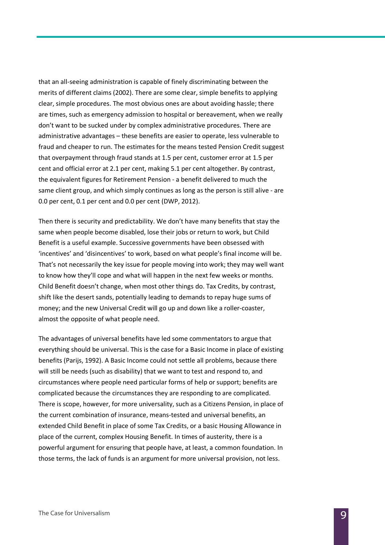that an all-seeing administration is capable of finely discriminating between the merits of different claims (2002). There are some clear, simple benefits to applying clear, simple procedures. The most obvious ones are about avoiding hassle; there are times, such as emergency admission to hospital or bereavement, when we really don't want to be sucked under by complex administrative procedures. There are administrative advantages – these benefits are easier to operate, less vulnerable to fraud and cheaper to run. The estimates for the means tested Pension Credit suggest that overpayment through fraud stands at 1.5 per cent, customer error at 1.5 per cent and official error at 2.1 per cent, making 5.1 per cent altogether. By contrast, the equivalent figures for Retirement Pension - a benefit delivered to much the same client group, and which simply continues as long as the person is still alive - are 0.0 per cent, 0.1 per cent and 0.0 per cent (DWP, 2012).

Then there is security and predictability. We don't have many benefits that stay the same when people become disabled, lose their jobs or return to work, but Child Benefit is a useful example. Successive governments have been obsessed with 'incentives' and 'disincentives' to work, based on what people's final income will be. That's not necessarily the key issue for people moving into work; they may well want to know how they'll cope and what will happen in the next few weeks or months. Child Benefit doesn't change, when most other things do. Tax Credits, by contrast, shift like the desert sands, potentially leading to demands to repay huge sums of money; and the new Universal Credit will go up and down like a roller-coaster, almost the opposite of what people need.

The advantages of universal benefits have led some commentators to argue that everything should be universal. This is the case for a Basic Income in place of existing benefits (Parijs, 1992). A Basic Income could not settle all problems, because there will still be needs (such as disability) that we want to test and respond to, and circumstances where people need particular forms of help or support; benefits are complicated because the circumstances they are responding to are complicated. There is scope, however, for more universality, such as a Citizens Pension, in place of the current combination of insurance, means-tested and universal benefits, an extended Child Benefit in place of some Tax Credits, or a basic Housing Allowance in place of the current, complex Housing Benefit. In times of austerity, there is a powerful argument for ensuring that people have, at least, a common foundation. In those terms, the lack of funds is an argument for more universal provision, not less.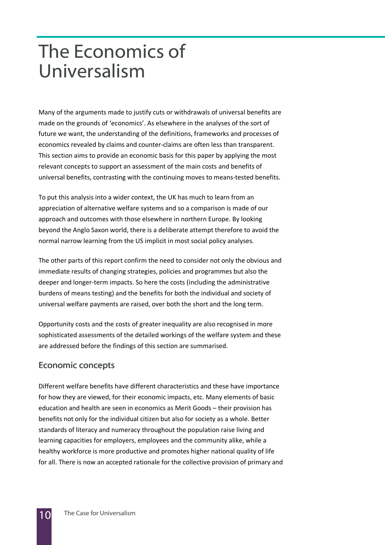### The Economics of Universalism

Many of the arguments made to justify cuts or withdrawals of universal benefits are made on the grounds of 'economics'. As elsewhere in the analyses of the sort of future we want, the understanding of the definitions, frameworks and processes of economics revealed by claims and counter-claims are often less than transparent. This section aims to provide an economic basis for this paper by applying the most relevant concepts to support an assessment of the main costs and benefits of universal benefits, contrasting with the continuing moves to means-tested benefits.

To put this analysis into a wider context, the UK has much to learn from an appreciation of alternative welfare systems and so a comparison is made of our approach and outcomes with those elsewhere in northern Europe. By looking beyond the Anglo Saxon world, there is a deliberate attempt therefore to avoid the normal narrow learning from the US implicit in most social policy analyses.

The other parts of this report confirm the need to consider not only the obvious and immediate results of changing strategies, policies and programmes but also the deeper and longer-term impacts. So here the costs (including the administrative burdens of means testing) and the benefits for both the individual and society of universal welfare payments are raised, over both the short and the long term.

Opportunity costs and the costs of greater inequality are also recognised in more sophisticated assessments of the detailed workings of the welfare system and these are addressed before the findings of this section are summarised.

#### Economic concepts

Different welfare benefits have different characteristics and these have importance for how they are viewed, for their economic impacts, etc. Many elements of basic education and health are seen in economics as Merit Goods – their provision has benefits not only for the individual citizen but also for society as a whole. Better standards of literacy and numeracy throughout the population raise living and learning capacities for employers, employees and the community alike, while a healthy workforce is more productive and promotes higher national quality of life for all. There is now an accepted rationale for the collective provision of primary and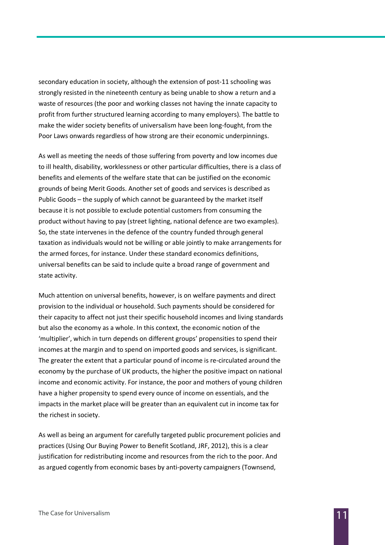secondary education in society, although the extension of post-11 schooling was strongly resisted in the nineteenth century as being unable to show a return and a waste of resources (the poor and working classes not having the innate capacity to profit from further structured learning according to many employers). The battle to make the wider society benefits of universalism have been long-fought, from the Poor Laws onwards regardless of how strong are their economic underpinnings.

As well as meeting the needs of those suffering from poverty and low incomes due to ill health, disability, worklessness or other particular difficulties, there is a class of benefits and elements of the welfare state that can be justified on the economic grounds of being Merit Goods. Another set of goods and services is described as Public Goods – the supply of which cannot be guaranteed by the market itself because it is not possible to exclude potential customers from consuming the product without having to pay (street lighting, national defence are two examples). So, the state intervenes in the defence of the country funded through general taxation as individuals would not be willing or able jointly to make arrangements for the armed forces, for instance. Under these standard economics definitions, universal benefits can be said to include quite a broad range of government and state activity.

Much attention on universal benefits, however, is on welfare payments and direct provision to the individual or household. Such payments should be considered for their capacity to affect not just their specific household incomes and living standards but also the economy as a whole. In this context, the economic notion of the 'multiplier', which in turn depends on different groups' propensities to spend their incomes at the margin and to spend on imported goods and services, is significant. The greater the extent that a particular pound of income is re-circulated around the economy by the purchase of UK products, the higher the positive impact on national income and economic activity. For instance, the poor and mothers of young children have a higher propensity to spend every ounce of income on essentials, and the impacts in the market place will be greater than an equivalent cut in income tax for the richest in society.

As well as being an argument for carefully targeted public procurement policies and practices (Using Our Buying Power to Benefit Scotland, JRF, 2012), this is a clear justification for redistributing income and resources from the rich to the poor. And as argued cogently from economic bases by anti-poverty campaigners (Townsend,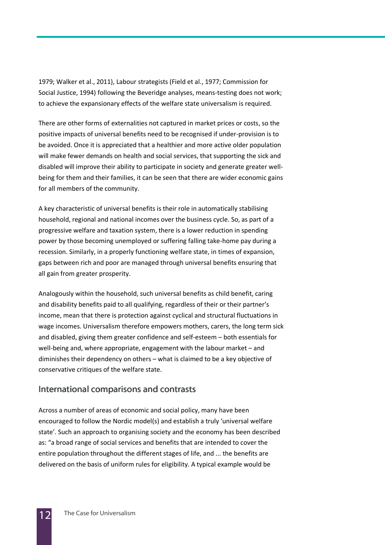1979; Walker et al., 2011), Labour strategists (Field et al., 1977; Commission for Social Justice, 1994) following the Beveridge analyses, means-testing does not work; to achieve the expansionary effects of the welfare state universalism is required.

There are other forms of externalities not captured in market prices or costs, so the positive impacts of universal benefits need to be recognised if under-provision is to be avoided. Once it is appreciated that a healthier and more active older population will make fewer demands on health and social services, that supporting the sick and disabled will improve their ability to participate in society and generate greater wellbeing for them and their families, it can be seen that there are wider economic gains for all members of the community.

A key characteristic of universal benefits is their role in automatically stabilising household, regional and national incomes over the business cycle. So, as part of a progressive welfare and taxation system, there is a lower reduction in spending power by those becoming unemployed or suffering falling take-home pay during a recession. Similarly, in a properly functioning welfare state, in times of expansion, gaps between rich and poor are managed through universal benefits ensuring that all gain from greater prosperity.

Analogously within the household, such universal benefits as child benefit, caring and disability benefits paid to all qualifying, regardless of their or their partner's income, mean that there is protection against cyclical and structural fluctuations in wage incomes. Universalism therefore empowers mothers, carers, the long term sick and disabled, giving them greater confidence and self-esteem – both essentials for well-being and, where appropriate, engagement with the labour market – and diminishes their dependency on others – what is claimed to be a key objective of conservative critiques of the welfare state.

#### International comparisons and contrasts

Across a number of areas of economic and social policy, many have been encouraged to follow the Nordic model(s) and establish a truly 'universal welfare state'. Such an approach to organising society and the economy has been described as: "a broad range of social services and benefits that are intended to cover the entire population throughout the different stages of life, and ... the benefits are delivered on the basis of uniform rules for eligibility. A typical example would be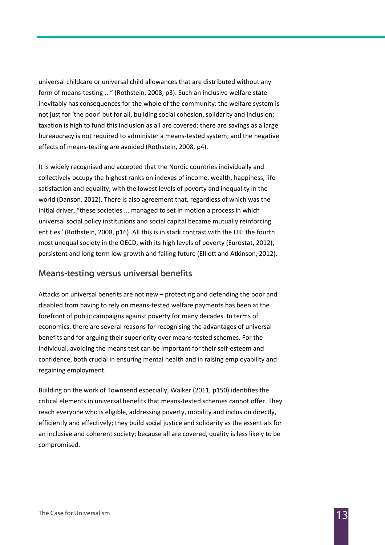universal childcare or universal child allowances that are distributed without any form of means-testing ..." (Rothstein, 2008, p3). Such an inclusive welfare state inevitably has consequences for the whole of the community: the welfare system is not just for 'the poor' but for all, building social cohesion, solidarity and inclusion; taxation is high to fund this inclusion as all are covered; there are savings as a large bureaucracy is not required to administer a means-tested system; and the negative effects of means-testing are avoided (Rothstein, 2008, p4).

It is widely recognised and accepted that the Nordic countries individually and collectively occupy the highest ranks on indexes of income, wealth, happiness, life satisfaction and equality, with the lowest levels of poverty and inequality in the world (Danson, 2012). There is also agreement that, regardless of which was the initial driver, "these societies ... managed to set in motion a process in which universal social policy institutions and social capital became mutually reinforcing entities" (Rothstein, 2008, p16). All this is in stark contrast with the UK: the fourth most unequal society in the OECD, with its high levels of poverty (Eurostat, 2012), persistent and long term low growth and failing future (Elliott and Atkinson, 2012).

#### Means-testing versus universal benefits

Attacks on universal benefits are not new – protecting and defending the poor and disabled from having to rely on means-tested welfare payments has been at the forefront of public campaigns against poverty for many decades. In terms of economics, there are several reasons for recognising the advantages of universal benefits and for arguing their superiority over means-tested schemes. For the individual, avoiding the means test can be important for their self-esteem and confidence, both crucial in ensuring mental health and in raising employability and regaining employment.

Building on the work of Townsend especially, Walker (2011, p150) identifies the critical elements in universal benefits that means-tested schemes cannot offer. They reach everyone who is eligible, addressing poverty, mobility and inclusion directly, efficiently and effectively; they build social justice and solidarity as the essentials for an inclusive and coherent society; because all are covered, quality is less likely to be compromised.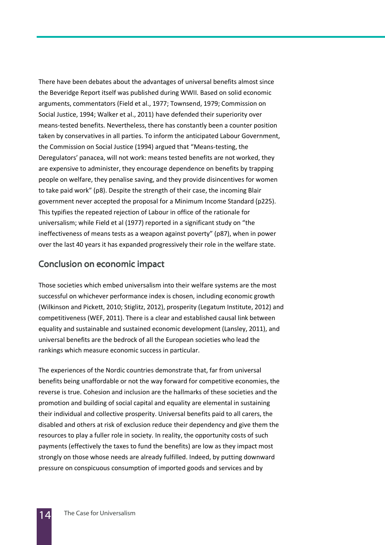There have been debates about the advantages of universal benefits almost since the Beveridge Report itself was published during WWII. Based on solid economic arguments, commentators (Field et al., 1977; Townsend, 1979; Commission on Social Justice, 1994; Walker et al., 2011) have defended their superiority over means-tested benefits. Nevertheless, there has constantly been a counter position taken by conservatives in all parties. To inform the anticipated Labour Government, the Commission on Social Justice (1994) argued that "Means-testing, the Deregulators' panacea, will not work: means tested benefits are not worked, they are expensive to administer, they encourage dependence on benefits by trapping people on welfare, they penalise saving, and they provide disincentives for women to take paid work" (p8). Despite the strength of their case, the incoming Blair government never accepted the proposal for a Minimum Income Standard (p225). This typifies the repeated rejection of Labour in office of the rationale for universalism; while Field et al (1977) reported in a significant study on "the ineffectiveness of means tests as a weapon against poverty" (p87), when in power over the last 40 years it has expanded progressively their role in the welfare state.

#### Conclusion on economic impact

Those societies which embed universalism into their welfare systems are the most successful on whichever performance index is chosen, including economic growth (Wilkinson and Pickett, 2010; Stiglitz, 2012), prosperity (Legatum Institute, 2012) and competitiveness (WEF, 2011). There is a clear and established causal link between equality and sustainable and sustained economic development (Lansley, 2011), and universal benefits are the bedrock of all the European societies who lead the rankings which measure economic success in particular.

The experiences of the Nordic countries demonstrate that, far from universal benefits being unaffordable or not the way forward for competitive economies, the reverse is true. Cohesion and inclusion are the hallmarks of these societies and the promotion and building of social capital and equality are elemental in sustaining their individual and collective prosperity. Universal benefits paid to all carers, the disabled and others at risk of exclusion reduce their dependency and give them the resources to play a fuller role in society. In reality, the opportunity costs of such payments (effectively the taxes to fund the benefits) are low as they impact most strongly on those whose needs are already fulfilled. Indeed, by putting downward pressure on conspicuous consumption of imported goods and services and by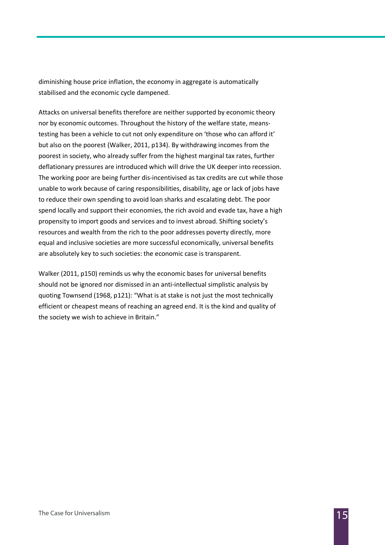diminishing house price inflation, the economy in aggregate is automatically stabilised and the economic cycle dampened.

Attacks on universal benefits therefore are neither supported by economic theory nor by economic outcomes. Throughout the history of the welfare state, meanstesting has been a vehicle to cut not only expenditure on 'those who can afford it' but also on the poorest (Walker, 2011, p134). By withdrawing incomes from the poorest in society, who already suffer from the highest marginal tax rates, further deflationary pressures are introduced which will drive the UK deeper into recession. The working poor are being further dis-incentivised as tax credits are cut while those unable to work because of caring responsibilities, disability, age or lack of jobs have to reduce their own spending to avoid loan sharks and escalating debt. The poor spend locally and support their economies, the rich avoid and evade tax, have a high propensity to import goods and services and to invest abroad. Shifting society's resources and wealth from the rich to the poor addresses poverty directly, more equal and inclusive societies are more successful economically, universal benefits are absolutely key to such societies: the economic case is transparent.

Walker (2011, p150) reminds us why the economic bases for universal benefits should not be ignored nor dismissed in an anti-intellectual simplistic analysis by quoting Townsend (1968, p121): "What is at stake is not just the most technically efficient or cheapest means of reaching an agreed end. It is the kind and quality of the society we wish to achieve in Britain."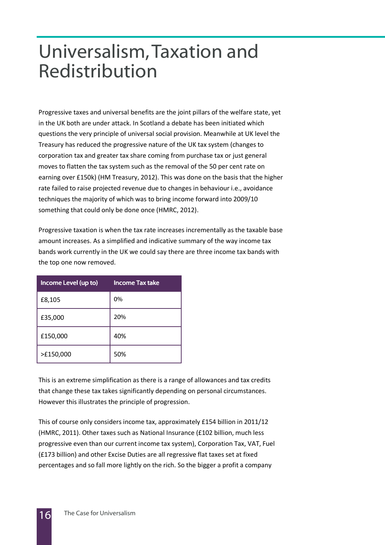### Universalism, Taxation and Redistribution

Progressive taxes and universal benefits are the joint pillars of the welfare state, yet in the UK both are under attack. In Scotland a debate has been initiated which questions the very principle of universal social provision. Meanwhile at UK level the Treasury has reduced the progressive nature of the UK tax system (changes to corporation tax and greater tax share coming from purchase tax or just general moves to flatten the tax system such as the removal of the 50 per cent rate on earning over £150k) (HM Treasury, 2012). This was done on the basis that the higher rate failed to raise projected revenue due to changes in behaviour i.e., avoidance techniques the majority of which was to bring income forward into 2009/10 something that could only be done once (HMRC, 2012).

Progressive taxation is when the tax rate increases incrementally as the taxable base amount increases. As a simplified and indicative summary of the way income tax bands work currently in the UK we could say there are three income tax bands with the top one now removed.

| Income Level (up to) | <b>Income Tax take</b> |
|----------------------|------------------------|
| £8,105               | 0%                     |
| £35,000              | 20%                    |
| £150,000             | 40%                    |
| >£150,000            | 50%                    |

This is an extreme simplification as there is a range of allowances and tax credits that change these tax takes significantly depending on personal circumstances. However this illustrates the principle of progression.

This of course only considers income tax, approximately £154 billion in 2011/12 (HMRC, 2011). Other taxes such as National Insurance (£102 billion, much less progressive even than our current income tax system), Corporation Tax, VAT, Fuel (£173 billion) and other Excise Duties are all regressive flat taxes set at fixed percentages and so fall more lightly on the rich. So the bigger a profit a company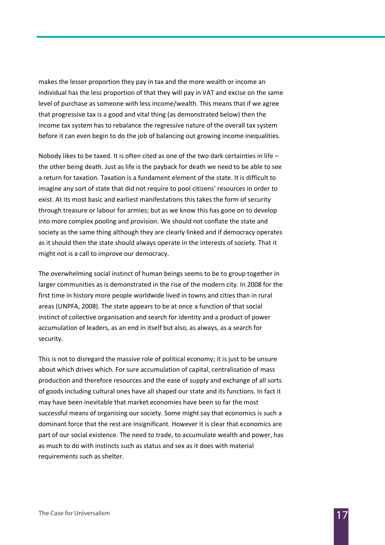makes the lesser proportion they pay in tax and the more wealth or income an individual has the less proportion of that they will pay in VAT and excise on the same level of purchase as someone with less income/wealth. This means that if we agree that progressive tax is a good and vital thing (as demonstrated below) then the income tax system has to rebalance the regressive nature of the overall tax system before it can even begin to do the job of balancing out growing income inequalities.

Nobody likes to be taxed. It is often cited as one of the two dark certainties in life – the other being death. Just as life is the payback for death we need to be able to see a return for taxation. Taxation is a fundament element of the state. It is difficult to imagine any sort of state that did not require to pool citizens' resources in order to exist. At its most basic and earliest manifestations this takes the form of security through treasure or labour for armies; but as we know this has gone on to develop into more complex pooling and provision. We should not conflate the state and society as the same thing although they are clearly linked and if democracy operates as it should then the state should always operate in the interests of society. That it might not is a call to improve our democracy.

The overwhelming social instinct of human beings seems to be to group together in larger communities as is demonstrated in the rise of the modern city. In 2008 for the first time in history more people worldwide lived in towns and cities than in rural areas (UNPFA, 2008). The state appears to be at once a function of that social instinct of collective organisation and search for identity and a product of power accumulation of leaders, as an end in itself but also, as always, as a search for security.

This is not to disregard the massive role of political economy; it is just to be unsure about which drives which. For sure accumulation of capital, centralisation of mass production and therefore resources and the ease of supply and exchange of all sorts of goods including cultural ones have all shaped our state and its functions. In fact it may have been inevitable that market economies have been so far the most successful means of organising our society. Some might say that economics is such a dominant force that the rest are insignificant. However it is clear that economics are part of our social existence. The need to trade, to accumulate wealth and power, has as much to do with instincts such as status and sex as it does with material requirements such as shelter.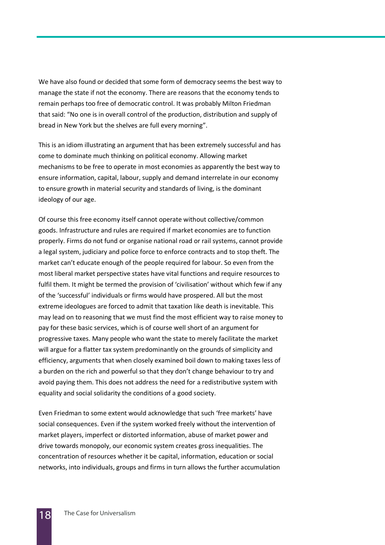We have also found or decided that some form of democracy seems the best way to manage the state if not the economy. There are reasons that the economy tends to remain perhaps too free of democratic control. It was probably Milton Friedman that said: "No one is in overall control of the production, distribution and supply of bread in New York but the shelves are full every morning".

This is an idiom illustrating an argument that has been extremely successful and has come to dominate much thinking on political economy. Allowing market mechanisms to be free to operate in most economies as apparently the best way to ensure information, capital, labour, supply and demand interrelate in our economy to ensure growth in material security and standards of living, is the dominant ideology of our age.

Of course this free economy itself cannot operate without collective/common goods. Infrastructure and rules are required if market economies are to function properly. Firms do not fund or organise national road or rail systems, cannot provide a legal system, judiciary and police force to enforce contracts and to stop theft. The market can't educate enough of the people required for labour. So even from the most liberal market perspective states have vital functions and require resources to fulfil them. It might be termed the provision of 'civilisation' without which few if any of the 'successful' individuals or firms would have prospered. All but the most extreme ideologues are forced to admit that taxation like death is inevitable. This may lead on to reasoning that we must find the most efficient way to raise money to pay for these basic services, which is of course well short of an argument for progressive taxes. Many people who want the state to merely facilitate the market will argue for a flatter tax system predominantly on the grounds of simplicity and efficiency, arguments that when closely examined boil down to making taxes less of a burden on the rich and powerful so that they don't change behaviour to try and avoid paying them. This does not address the need for a redistributive system with equality and social solidarity the conditions of a good society.

Even Friedman to some extent would acknowledge that such 'free markets' have social consequences. Even if the system worked freely without the intervention of market players, imperfect or distorted information, abuse of market power and drive towards monopoly, our economic system creates gross inequalities. The concentration of resources whether it be capital, information, education or social networks, into individuals, groups and firms in turn allows the further accumulation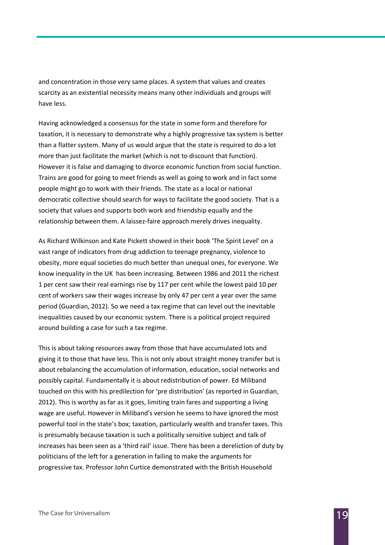and concentration in those very same places. A system that values and creates scarcity as an existential necessity means many other individuals and groups will have less.

Having acknowledged a consensus for the state in some form and therefore for taxation, it is necessary to demonstrate why a highly progressive tax system is better than a flatter system. Many of us would argue that the state is required to do a lot more than just facilitate the market (which is not to discount that function). However it is false and damaging to divorce economic function from social function. Trains are good for going to meet friends as well as going to work and in fact some people might go to work with their friends. The state as a local or national democratic collective should search for ways to facilitate the good society. That is a society that values and supports both work and friendship equally and the relationship between them. A laissez-faire approach merely drives inequality.

As Richard Wilkinson and Kate Pickett showed in their book 'The Spirit Level' on a vast range of indicators from drug addiction to teenage pregnancy, violence to obesity, more equal societies do much better than unequal ones, for everyone. We know inequality in the UK has been increasing. Between 1986 and 2011 the richest 1 per cent saw their real earnings rise by 117 per cent while the lowest paid 10 per cent of workers saw their wages increase by only 47 per cent a year over the same period (Guardian, 2012). So we need a tax regime that can level out the inevitable inequalities caused by our economic system. There is a political project required around building a case for such a tax regime.

This is about taking resources away from those that have accumulated lots and giving it to those that have less. This is not only about straight money transfer but is about rebalancing the accumulation of information, education, social networks and possibly capital. Fundamentally it is about redistribution of power. Ed Miliband touched on this with his predilection for 'pre distribution' (as reported in Guardian, 2012). This is worthy as far as it goes, limiting train fares and supporting a living wage are useful. However in Miliband's version he seems to have ignored the most powerful tool in the state's box; taxation, particularly wealth and transfer taxes. This is presumably because taxation is such a politically sensitive subject and talk of increases has been seen as a 'third rail' issue. There has been a dereliction of duty by politicians of the left for a generation in failing to make the arguments for progressive tax. Professor John Curtice demonstrated with the British Household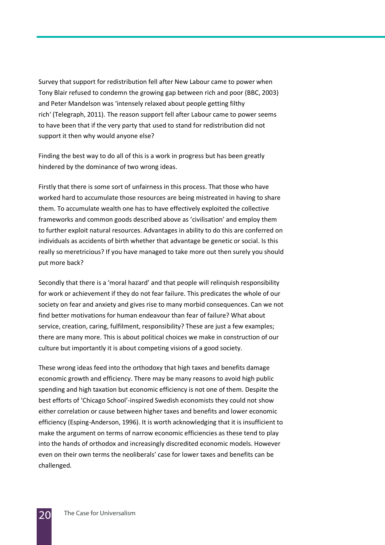Survey that support for redistribution fell after New Labour came to power when Tony Blair refused to condemn the growing gap between rich and poor (BBC, 2003) and Peter Mandelson was 'intensely relaxed about people getting filthy rich' (Telegraph, 2011). The reason support fell after Labour came to power seems to have been that if the very party that used to stand for redistribution did not support it then why would anyone else?

Finding the best way to do all of this is a work in progress but has been greatly hindered by the dominance of two wrong ideas.

Firstly that there is some sort of unfairness in this process. That those who have worked hard to accumulate those resources are being mistreated in having to share them. To accumulate wealth one has to have effectively exploited the collective frameworks and common goods described above as 'civilisation' and employ them to further exploit natural resources. Advantages in ability to do this are conferred on individuals as accidents of birth whether that advantage be genetic or social. Is this really so meretricious? If you have managed to take more out then surely you should put more back?

Secondly that there is a 'moral hazard' and that people will relinquish responsibility for work or achievement if they do not fear failure. This predicates the whole of our society on fear and anxiety and gives rise to many morbid consequences. Can we not find better motivations for human endeavour than fear of failure? What about service, creation, caring, fulfilment, responsibility? These are just a few examples; there are many more. This is about political choices we make in construction of our culture but importantly it is about competing visions of a good society.

These wrong ideas feed into the orthodoxy that high taxes and benefits damage economic growth and efficiency. There may be many reasons to avoid high public spending and high taxation but economic efficiency is not one of them. Despite the best efforts of 'Chicago School'-inspired Swedish economists they could not show either correlation or cause between higher taxes and benefits and lower economic efficiency (Esping-Anderson, 1996). It is worth acknowledging that it is insufficient to make the argument on terms of narrow economic efficiencies as these tend to play into the hands of orthodox and increasingly discredited economic models. However even on their own terms the neoliberals' case for lower taxes and benefits can be challenged.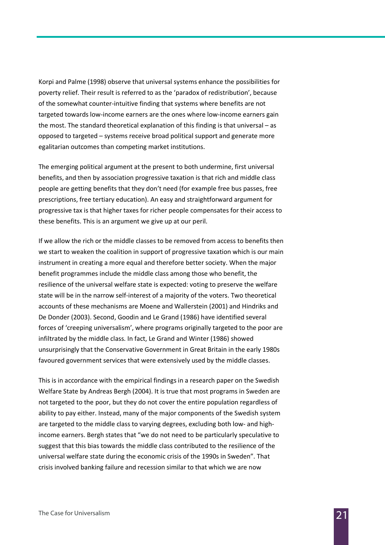Korpi and Palme (1998) observe that universal systems enhance the possibilities for poverty relief. Their result is referred to as the 'paradox of redistribution', because of the somewhat counter-intuitive finding that systems where benefits are not targeted towards low-income earners are the ones where low-income earners gain the most. The standard theoretical explanation of this finding is that universal – as opposed to targeted – systems receive broad political support and generate more egalitarian outcomes than competing market institutions.

The emerging political argument at the present to both undermine, first universal benefits, and then by association progressive taxation is that rich and middle class people are getting benefits that they don't need (for example free bus passes, free prescriptions, free tertiary education). An easy and straightforward argument for progressive tax is that higher taxes for richer people compensates for their access to these benefits. This is an argument we give up at our peril.

If we allow the rich or the middle classes to be removed from access to benefits then we start to weaken the coalition in support of progressive taxation which is our main instrument in creating a more equal and therefore better society. When the major benefit programmes include the middle class among those who benefit, the resilience of the universal welfare state is expected: voting to preserve the welfare state will be in the narrow self-interest of a majority of the voters. Two theoretical accounts of these mechanisms are Moene and Wallerstein (2001) and Hindriks and De Donder (2003). Second, Goodin and Le Grand (1986) have identified several forces of 'creeping universalism', where programs originally targeted to the poor are infiltrated by the middle class. In fact, Le Grand and Winter (1986) showed unsurprisingly that the Conservative Government in Great Britain in the early 1980s favoured government services that were extensively used by the middle classes.

This is in accordance with the empirical findings in a research paper on the Swedish Welfare State by Andreas Bergh (2004). It is true that most programs in Sweden are not targeted to the poor, but they do not cover the entire population regardless of ability to pay either. Instead, many of the major components of the Swedish system are targeted to the middle class to varying degrees, excluding both low- and highincome earners. Bergh states that "we do not need to be particularly speculative to suggest that this bias towards the middle class contributed to the resilience of the universal welfare state during the economic crisis of the 1990s in Sweden". That crisis involved banking failure and recession similar to that which we are now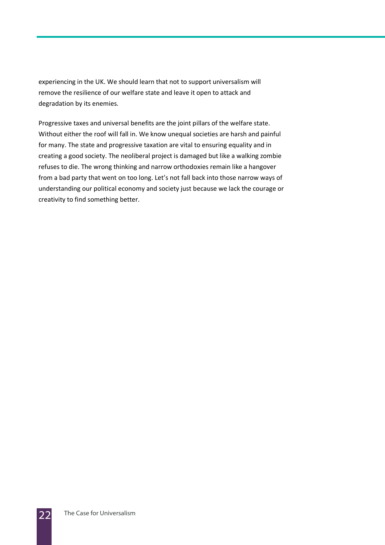experiencing in the UK. We should learn that not to support universalism will remove the resilience of our welfare state and leave it open to attack and degradation by its enemies.

Progressive taxes and universal benefits are the joint pillars of the welfare state. Without either the roof will fall in. We know unequal societies are harsh and painful for many. The state and progressive taxation are vital to ensuring equality and in creating a good society. The neoliberal project is damaged but like a walking zombie refuses to die. The wrong thinking and narrow orthodoxies remain like a hangover from a bad party that went on too long. Let's not fall back into those narrow ways of understanding our political economy and society just because we lack the courage or creativity to find something better.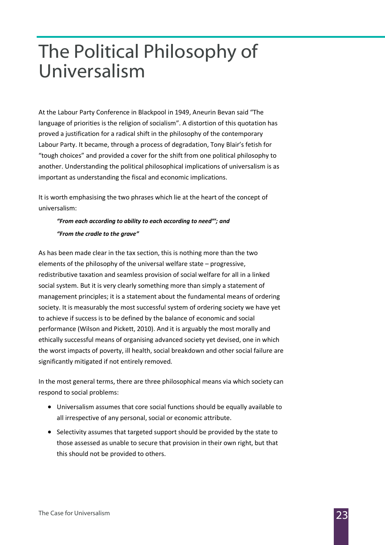## The Political Philosophy of Universalism

At the Labour Party Conference in Blackpool in 1949, Aneurin Bevan said "The language of priorities is the religion of socialism". A distortion of this quotation has proved a justification for a radical shift in the philosophy of the contemporary Labour Party. It became, through a process of degradation, Tony Blair's fetish for "tough choices" and provided a cover for the shift from one political philosophy to another. Understanding the political philosophical implications of universalism is as important as understanding the fiscal and economic implications.

It is worth emphasising the two phrases which lie at the heart of the concept of universalism:

#### "From each according to ability to each according to need"'; and "From the cradle to the grave"

As has been made clear in the tax section, this is nothing more than the two elements of the philosophy of the universal welfare state – progressive, redistributive taxation and seamless provision of social welfare for all in a linked social system. But it is very clearly something more than simply a statement of management principles; it is a statement about the fundamental means of ordering society. It is measurably the most successful system of ordering society we have yet to achieve if success is to be defined by the balance of economic and social performance (Wilson and Pickett, 2010). And it is arguably the most morally and ethically successful means of organising advanced society yet devised, one in which the worst impacts of poverty, ill health, social breakdown and other social failure are significantly mitigated if not entirely removed.

In the most general terms, there are three philosophical means via which society can respond to social problems:

- Universalism assumes that core social functions should be equally available to all irrespective of any personal, social or economic attribute.
- Selectivity assumes that targeted support should be provided by the state to those assessed as unable to secure that provision in their own right, but that this should not be provided to others.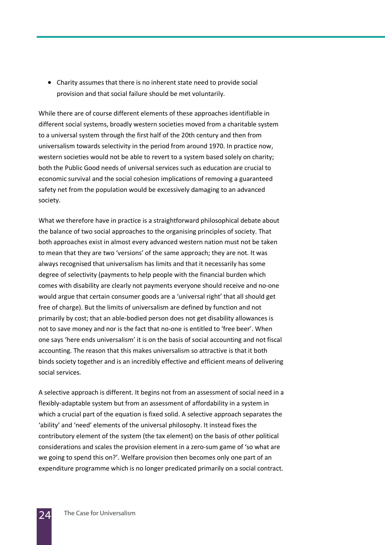• Charity assumes that there is no inherent state need to provide social provision and that social failure should be met voluntarily.

While there are of course different elements of these approaches identifiable in different social systems, broadly western societies moved from a charitable system to a universal system through the first half of the 20th century and then from universalism towards selectivity in the period from around 1970. In practice now, western societies would not be able to revert to a system based solely on charity; both the Public Good needs of universal services such as education are crucial to economic survival and the social cohesion implications of removing a guaranteed safety net from the population would be excessively damaging to an advanced society.

What we therefore have in practice is a straightforward philosophical debate about the balance of two social approaches to the organising principles of society. That both approaches exist in almost every advanced western nation must not be taken to mean that they are two 'versions' of the same approach; they are not. It was always recognised that universalism has limits and that it necessarily has some degree of selectivity (payments to help people with the financial burden which comes with disability are clearly not payments everyone should receive and no-one would argue that certain consumer goods are a 'universal right' that all should get free of charge). But the limits of universalism are defined by function and not primarily by cost; that an able-bodied person does not get disability allowances is not to save money and nor is the fact that no-one is entitled to 'free beer'. When one says 'here ends universalism' it is on the basis of social accounting and not fiscal accounting. The reason that this makes universalism so attractive is that it both binds society together and is an incredibly effective and efficient means of delivering social services.

A selective approach is different. It begins not from an assessment of social need in a flexibly-adaptable system but from an assessment of affordability in a system in which a crucial part of the equation is fixed solid. A selective approach separates the 'ability' and 'need' elements of the universal philosophy. It instead fixes the contributory element of the system (the tax element) on the basis of other political considerations and scales the provision element in a zero-sum game of 'so what are we going to spend this on?'. Welfare provision then becomes only one part of an expenditure programme which is no longer predicated primarily on a social contract.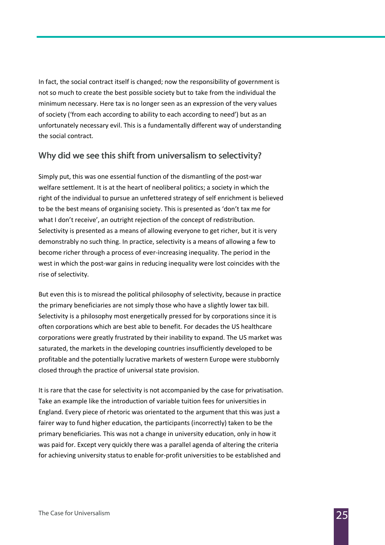In fact, the social contract itself is changed; now the responsibility of government is not so much to create the best possible society but to take from the individual the minimum necessary. Here tax is no longer seen as an expression of the very values of society ('from each according to ability to each according to need') but as an unfortunately necessary evil. This is a fundamentally different way of understanding the social contract.

#### Why did we see this shift from universalism to selectivity?

Simply put, this was one essential function of the dismantling of the post-war welfare settlement. It is at the heart of neoliberal politics; a society in which the right of the individual to pursue an unfettered strategy of self enrichment is believed to be the best means of organising society. This is presented as 'don't tax me for what I don't receive', an outright rejection of the concept of redistribution. Selectivity is presented as a means of allowing everyone to get richer, but it is very demonstrably no such thing. In practice, selectivity is a means of allowing a few to become richer through a process of ever-increasing inequality. The period in the west in which the post-war gains in reducing inequality were lost coincides with the rise of selectivity.

But even this is to misread the political philosophy of selectivity, because in practice the primary beneficiaries are not simply those who have a slightly lower tax bill. Selectivity is a philosophy most energetically pressed for by corporations since it is often corporations which are best able to benefit. For decades the US healthcare corporations were greatly frustrated by their inability to expand. The US market was saturated, the markets in the developing countries insufficiently developed to be profitable and the potentially lucrative markets of western Europe were stubbornly closed through the practice of universal state provision.

It is rare that the case for selectivity is not accompanied by the case for privatisation. Take an example like the introduction of variable tuition fees for universities in England. Every piece of rhetoric was orientated to the argument that this was just a fairer way to fund higher education, the participants (incorrectly) taken to be the primary beneficiaries. This was not a change in university education, only in how it was paid for. Except very quickly there was a parallel agenda of altering the criteria for achieving university status to enable for-profit universities to be established and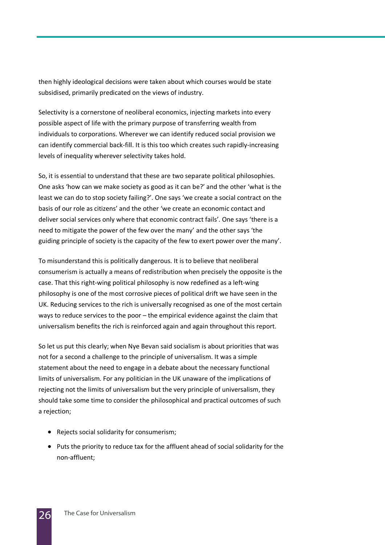then highly ideological decisions were taken about which courses would be state subsidised, primarily predicated on the views of industry.

Selectivity is a cornerstone of neoliberal economics, injecting markets into every possible aspect of life with the primary purpose of transferring wealth from individuals to corporations. Wherever we can identify reduced social provision we can identify commercial back-fill. It is this too which creates such rapidly-increasing levels of inequality wherever selectivity takes hold.

So, it is essential to understand that these are two separate political philosophies. One asks 'how can we make society as good as it can be?' and the other 'what is the least we can do to stop society failing?'. One says 'we create a social contract on the basis of our role as citizens' and the other 'we create an economic contact and deliver social services only where that economic contract fails'. One says 'there is a need to mitigate the power of the few over the many' and the other says 'the guiding principle of society is the capacity of the few to exert power over the many'.

To misunderstand this is politically dangerous. It is to believe that neoliberal consumerism is actually a means of redistribution when precisely the opposite is the case. That this right-wing political philosophy is now redefined as a left-wing philosophy is one of the most corrosive pieces of political drift we have seen in the UK. Reducing services to the rich is universally recognised as one of the most certain ways to reduce services to the poor – the empirical evidence against the claim that universalism benefits the rich is reinforced again and again throughout this report.

So let us put this clearly; when Nye Bevan said socialism is about priorities that was not for a second a challenge to the principle of universalism. It was a simple statement about the need to engage in a debate about the necessary functional limits of universalism. For any politician in the UK unaware of the implications of rejecting not the limits of universalism but the very principle of universalism, they should take some time to consider the philosophical and practical outcomes of such a rejection;

- Rejects social solidarity for consumerism;
- Puts the priority to reduce tax for the affluent ahead of social solidarity for the non-affluent;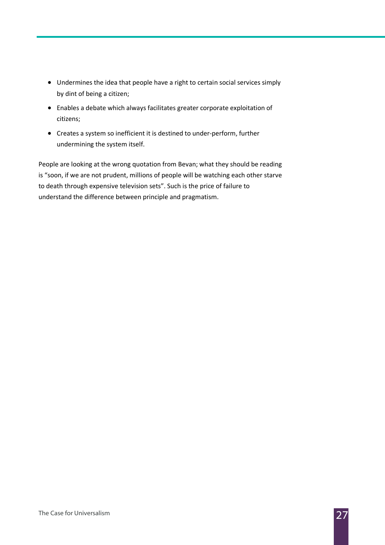- Undermines the idea that people have a right to certain social services simply by dint of being a citizen;
- Enables a debate which always facilitates greater corporate exploitation of citizens;
- Creates a system so inefficient it is destined to under-perform, further undermining the system itself.

People are looking at the wrong quotation from Bevan; what they should be reading is "soon, if we are not prudent, millions of people will be watching each other starve to death through expensive television sets". Such is the price of failure to understand the difference between principle and pragmatism.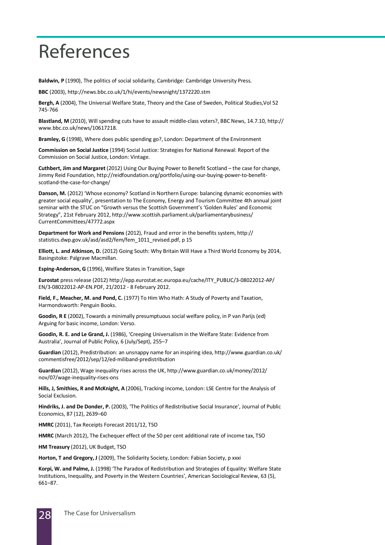### References

Baldwin, P (1990), The politics of social solidarity, Cambridge: Cambridge University Press.

BBC (2003), http://news.bbc.co.uk/1/hi/events/newsnight/1372220.stm

Bergh, A (2004), The Universal Welfare State, Theory and the Case of Sweden, Political Studies,Vol 52 745-766

Blastland, M (2010), Will spending cuts have to assault middle-class voters?, BBC News, 14.7.10, http:// www.bbc.co.uk/news/10617218.

Bramley, G (1998), Where does public spending go?, London: Department of the Environment

Commission on Social Justice (1994) Social Justice: Strategies for National Renewal: Report of the Commission on Social Justice, London: Vintage.

Cuthbert, Jim and Margaret (2012) Using Our Buying Power to Benefit Scotland – the case for change, Jimmy Reid Foundation, http://reidfoundation.org/portfolio/using-our-buying-power-to-benefitscotland-the-case-for-change/

Danson, M. (2012) 'Whose economy? Scotland in Northern Europe: balancing dynamic economies with greater social equality', presentation to The Economy, Energy and Tourism Committee 4th annual joint seminar with the STUC on "Growth versus the Scottish Government's 'Golden Rules' and Economic Strategy", 21st February 2012, http://www.scottish.parliament.uk/parliamentarybusiness/ CurrentCommittees/47772.aspx

Department for Work and Pensions (2012), Fraud and error in the benefits system, http:// statistics.dwp.gov.uk/asd/asd2/fem/fem\_1011\_revised.pdf, p 15

Elliott, L. and Atkinson, D. (2012) Going South: Why Britain Will Have a Third World Economy by 2014, Basingstoke: Palgrave Macmillan.

Esping-Anderson, G (1996), Welfare States in Transition, Sage

Eurostat press release (2012) http://epp.eurostat.ec.europa.eu/cache/ITY\_PUBLIC/3-08022012-AP/ EN/3-08022012-AP-EN.PDF, 21/2012 - 8 February 2012.

Field, F., Meacher, M. and Pond, C. (1977) To Him Who Hath: A Study of Poverty and Taxation, Harmondsworth: Penguin Books.

Goodin, R E (2002), Towards a minimally presumptuous social welfare policy, in P van Parijs (ed) Arguing for basic income, London: Verso.

Goodin, R. E. and Le Grand, J. (1986), 'Creeping Universalism in the Welfare State: Evidence from Australia', Journal of Public Policy, 6 (July/Sept), 255–7

Guardian (2012), Predistribution: an unsnappy name for an inspiring idea, http://www.guardian.co.uk/ commentisfree/2012/sep/12/ed-miliband-predistribution

Guardian (2012), Wage inequality rises across the UK, http://www.guardian.co.uk/money/2012/ nov/07/wage-inequality-rises-ons

Hills, J, Smithies, R and McKnight, A (2006), Tracking income, London: LSE Centre for the Analysis of Social Exclusion.

Hindriks, J. and De Donder, P. (2003), 'The Politics of Redistributive Social Insurance', Journal of Public Economics, 87 (12), 2639–60

HMRC (2011), Tax Receipts Forecast 2011/12, TSO

HMRC (March 2012), The Exchequer effect of the 50 per cent additional rate of income tax, TSO

HM Treasury (2012), UK Budget, TSO

Horton, T and Gregory, J (2009), The Solidarity Society, London: Fabian Society, p xxxi

Korpi, W. and Palme, J. (1998) 'The Paradox of Redistribution and Strategies of Equality: Welfare State Institutions, Inequality, and Poverty in the Western Countries', American Sociological Review, 63 (5), 661–87.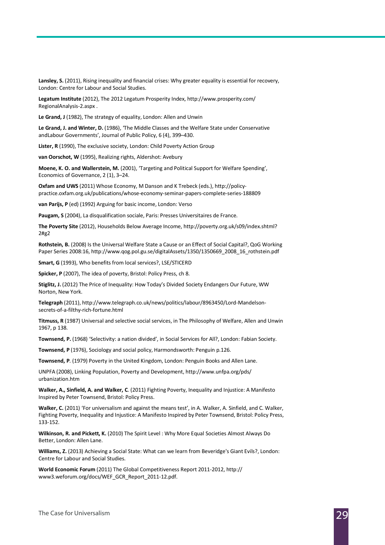Lansley, S. (2011), Rising inequality and financial crises: Why greater equality is essential for recovery, London: Centre for Labour and Social Studies.

Legatum Institute (2012), The 2012 Legatum Prosperity Index, http://www.prosperity.com/ RegionalAnalysis-2.aspx .

Le Grand, J (1982), The strategy of equality, London: Allen and Unwin

Le Grand, J. and Winter, D. (1986), 'The Middle Classes and the Welfare State under Conservative andLabour Governments', Journal of Public Policy, 6 (4), 399–430.

Lister, R (1990), The exclusive society, London: Child Poverty Action Group

van Oorschot, W (1995), Realizing rights, Aldershot: Avebury

Moene, K. O. and Wallerstein, M. (2001), 'Targeting and Political Support for Welfare Spending', Economics of Governance, 2 (1), 3–24.

Oxfam and UWS (2011) Whose Economy, M Danson and K Trebeck (eds.), http://policypractice.oxfam.org.uk/publications/whose-economy-seminar-papers-complete-series-188809

van Parijs, P (ed) (1992) Arguing for basic income, London: Verso

Paugam, S (2004), La disqualification sociale, Paris: Presses Universitaires de France.

The Poverty Site (2012), Households Below Average Income, http://poverty.org.uk/s09/index.shtml? 2#g2

Rothstein, B. (2008) Is the Universal Welfare State a Cause or an Effect of Social Capital?, QoG Working Paper Series 2008:16, http://www.qog.pol.gu.se/digitalAssets/1350/1350669\_2008\_16\_rothstein.pdf

Smart, G (1993), Who benefits from local services?, LSE/STICERD

Spicker, P (2007), The idea of poverty, Bristol: Policy Press, ch 8.

Stiglitz, J. (2012) The Price of Inequality: How Today's Divided Society Endangers Our Future, WW Norton, New York.

Telegraph (2011), http://www.telegraph.co.uk/news/politics/labour/8963450/Lord-Mandelsonsecrets-of-a-filthy-rich-fortune.html

Titmuss, R (1987) Universal and selective social services, in The Philosophy of Welfare, Allen and Unwin 1967, p 138.

Townsend, P. (1968) 'Selectivity: a nation divided', in Social Services for All?, London: Fabian Society.

Townsend, P (1976), Sociology and social policy, Harmondsworth: Penguin p.126.

Townsend, P. (1979) Poverty in the United Kingdom, London: Penguin Books and Allen Lane.

UNPFA (2008), Linking Population, Poverty and Development, http://www.unfpa.org/pds/ urbanization.htm

Walker, A., Sinfield, A. and Walker, C. (2011) Fighting Poverty, Inequality and Injustice: A Manifesto Inspired by Peter Townsend, Bristol: Policy Press.

Walker, C. (2011) 'For universalism and against the means test', in A. Walker, A. Sinfield, and C. Walker, Fighting Poverty, Inequality and Injustice: A Manifesto Inspired by Peter Townsend, Bristol: Policy Press, 133-152.

Wilkinson, R. and Pickett, K. (2010) The Spirit Level : Why More Equal Societies Almost Always Do Better, London: Allen Lane.

Williams, Z. (2013) Achieving a Social State: What can we learn from Beveridge's Giant Evils?, London: Centre for Labour and Social Studies.

World Economic Forum (2011) The Global Competitiveness Report 2011-2012, http:// www3.weforum.org/docs/WEF\_GCR\_Report\_2011-12.pdf.